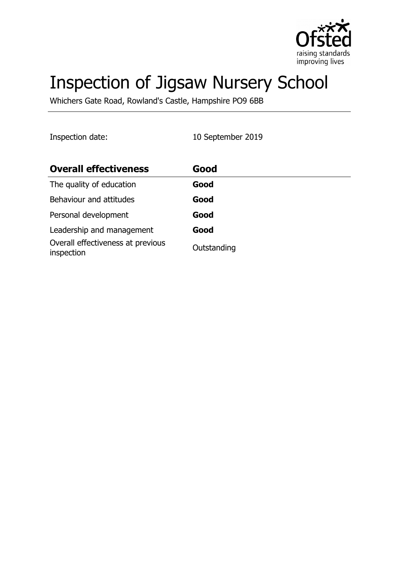

# Inspection of Jigsaw Nursery School

Whichers Gate Road, Rowland's Castle, Hampshire PO9 6BB

Inspection date: 10 September 2019

| <b>Overall effectiveness</b>                    | Good        |
|-------------------------------------------------|-------------|
| The quality of education                        | Good        |
| Behaviour and attitudes                         | Good        |
| Personal development                            | Good        |
| Leadership and management                       | Good        |
| Overall effectiveness at previous<br>inspection | Outstanding |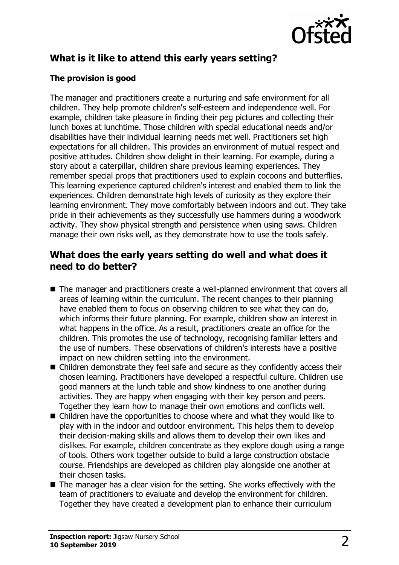

# **What is it like to attend this early years setting?**

## **The provision is good**

The manager and practitioners create a nurturing and safe environment for all children. They help promote children's self-esteem and independence well. For example, children take pleasure in finding their peg pictures and collecting their lunch boxes at lunchtime. Those children with special educational needs and/or disabilities have their individual learning needs met well. Practitioners set high expectations for all children. This provides an environment of mutual respect and positive attitudes. Children show delight in their learning. For example, during a story about a caterpillar, children share previous learning experiences. They remember special props that practitioners used to explain cocoons and butterflies. This learning experience captured children's interest and enabled them to link the experiences. Children demonstrate high levels of curiosity as they explore their learning environment. They move comfortably between indoors and out. They take pride in their achievements as they successfully use hammers during a woodwork activity. They show physical strength and persistence when using saws. Children manage their own risks well, as they demonstrate how to use the tools safely.

## **What does the early years setting do well and what does it need to do better?**

- The manager and practitioners create a well-planned environment that covers all areas of learning within the curriculum. The recent changes to their planning have enabled them to focus on observing children to see what they can do, which informs their future planning. For example, children show an interest in what happens in the office. As a result, practitioners create an office for the children. This promotes the use of technology, recognising familiar letters and the use of numbers. These observations of children's interests have a positive impact on new children settling into the environment.
- $\blacksquare$  Children demonstrate they feel safe and secure as they confidently access their chosen learning. Practitioners have developed a respectful culture. Children use good manners at the lunch table and show kindness to one another during activities. They are happy when engaging with their key person and peers. Together they learn how to manage their own emotions and conflicts well.
- $\blacksquare$  Children have the opportunities to choose where and what they would like to play with in the indoor and outdoor environment. This helps them to develop their decision-making skills and allows them to develop their own likes and dislikes. For example, children concentrate as they explore dough using a range of tools. Others work together outside to build a large construction obstacle course. Friendships are developed as children play alongside one another at their chosen tasks.
- $\blacksquare$  The manager has a clear vision for the setting. She works effectively with the team of practitioners to evaluate and develop the environment for children. Together they have created a development plan to enhance their curriculum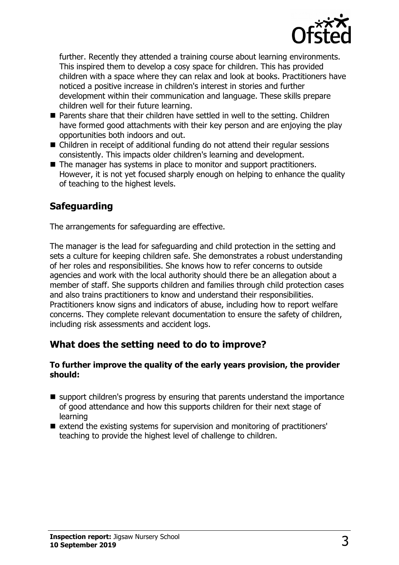

further. Recently they attended a training course about learning environments. This inspired them to develop a cosy space for children. This has provided children with a space where they can relax and look at books. Practitioners have noticed a positive increase in children's interest in stories and further development within their communication and language. These skills prepare children well for their future learning.

- $\blacksquare$  Parents share that their children have settled in well to the setting. Children have formed good attachments with their key person and are enjoying the play opportunities both indoors and out.
- Children in receipt of additional funding do not attend their regular sessions consistently. This impacts older children's learning and development.
- $\blacksquare$  The manager has systems in place to monitor and support practitioners. However, it is not yet focused sharply enough on helping to enhance the quality of teaching to the highest levels.

# **Safeguarding**

The arrangements for safeguarding are effective.

The manager is the lead for safeguarding and child protection in the setting and sets a culture for keeping children safe. She demonstrates a robust understanding of her roles and responsibilities. She knows how to refer concerns to outside agencies and work with the local authority should there be an allegation about a member of staff. She supports children and families through child protection cases and also trains practitioners to know and understand their responsibilities. Practitioners know signs and indicators of abuse, including how to report welfare concerns. They complete relevant documentation to ensure the safety of children, including risk assessments and accident logs.

## **What does the setting need to do to improve?**

#### **To further improve the quality of the early years provision, the provider should:**

- $\blacksquare$  support children's progress by ensuring that parents understand the importance of good attendance and how this supports children for their next stage of learning
- extend the existing systems for supervision and monitoring of practitioners' teaching to provide the highest level of challenge to children.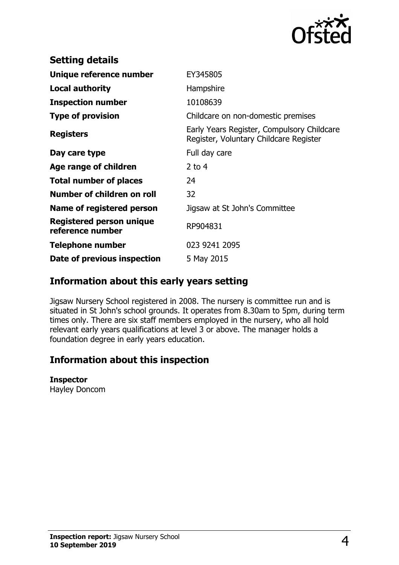

| <b>Setting details</b>                              |                                                                                      |
|-----------------------------------------------------|--------------------------------------------------------------------------------------|
| Unique reference number                             | EY345805                                                                             |
| Local authority                                     | Hampshire                                                                            |
| <b>Inspection number</b>                            | 10108639                                                                             |
| <b>Type of provision</b>                            | Childcare on non-domestic premises                                                   |
| <b>Registers</b>                                    | Early Years Register, Compulsory Childcare<br>Register, Voluntary Childcare Register |
| Day care type                                       | Full day care                                                                        |
| Age range of children                               | 2 to $4$                                                                             |
| <b>Total number of places</b>                       | 24                                                                                   |
| Number of children on roll                          | 32                                                                                   |
| Name of registered person                           | Jigsaw at St John's Committee                                                        |
| <b>Registered person unique</b><br>reference number | RP904831                                                                             |
| <b>Telephone number</b>                             | 023 9241 2095                                                                        |
| Date of previous inspection                         | 5 May 2015                                                                           |

## **Information about this early years setting**

Jigsaw Nursery School registered in 2008. The nursery is committee run and is situated in St John's school grounds. It operates from 8.30am to 5pm, during term times only. There are six staff members employed in the nursery, who all hold relevant early years qualifications at level 3 or above. The manager holds a foundation degree in early years education.

## **Information about this inspection**

#### **Inspector**

Hayley Doncom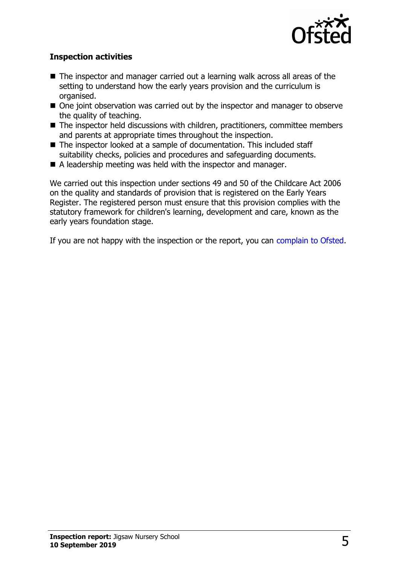

## **Inspection activities**

- $\blacksquare$  The inspector and manager carried out a learning walk across all areas of the setting to understand how the early years provision and the curriculum is organised.
- $\blacksquare$  One joint observation was carried out by the inspector and manager to observe the quality of teaching.
- $\blacksquare$  The inspector held discussions with children, practitioners, committee members and parents at appropriate times throughout the inspection.
- The inspector looked at a sample of documentation. This included staff suitability checks, policies and procedures and safeguarding documents.
- $\blacksquare$  A leadership meeting was held with the inspector and manager.

We carried out this inspection under sections 49 and 50 of the Childcare Act 2006 on the quality and standards of provision that is registered on the Early Years Register. The registered person must ensure that this provision complies with the statutory framework for children's learning, development and care, known as the early years foundation stage.

If you are not happy with the inspection or the report, you can [complain to Ofsted.](http://www.gov.uk/complain-ofsted-report)